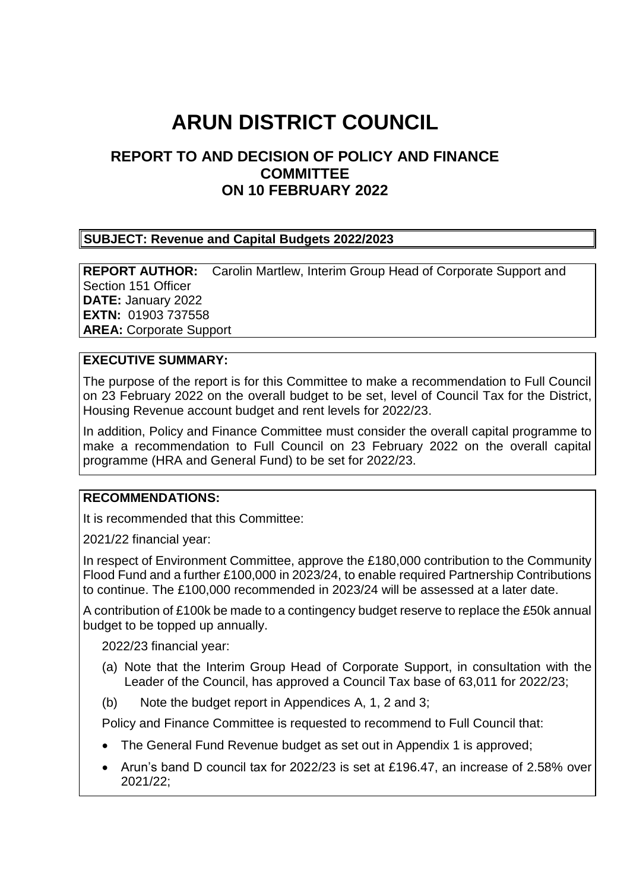# **ARUN DISTRICT COUNCIL**

# **REPORT TO AND DECISION OF POLICY AND FINANCE COMMITTEE ON 10 FEBRUARY 2022**

#### **SUBJECT: Revenue and Capital Budgets 2022/2023**

**REPORT AUTHOR:** Carolin Martlew, Interim Group Head of Corporate Support and Section 151 Officer **DATE:** January 2022 **EXTN:** 01903 737558 **AREA:** Corporate Support

#### **EXECUTIVE SUMMARY:**

The purpose of the report is for this Committee to make a recommendation to Full Council on 23 February 2022 on the overall budget to be set, level of Council Tax for the District, Housing Revenue account budget and rent levels for 2022/23.

In addition, Policy and Finance Committee must consider the overall capital programme to make a recommendation to Full Council on 23 February 2022 on the overall capital programme (HRA and General Fund) to be set for 2022/23.

#### **RECOMMENDATIONS:**

It is recommended that this Committee:

2021/22 financial year:

In respect of Environment Committee, approve the £180,000 contribution to the Community Flood Fund and a further £100,000 in 2023/24, to enable required Partnership Contributions to continue. The £100,000 recommended in 2023/24 will be assessed at a later date.

A contribution of £100k be made to a contingency budget reserve to replace the £50k annual budget to be topped up annually.

2022/23 financial year:

- (a) Note that the Interim Group Head of Corporate Support, in consultation with the Leader of the Council, has approved a Council Tax base of 63,011 for 2022/23;
- (b) Note the budget report in Appendices A, 1, 2 and 3;

Policy and Finance Committee is requested to recommend to Full Council that:

- The General Fund Revenue budget as set out in Appendix 1 is approved;
- Arun's band D council tax for 2022/23 is set at £196.47, an increase of 2.58% over 2021/22;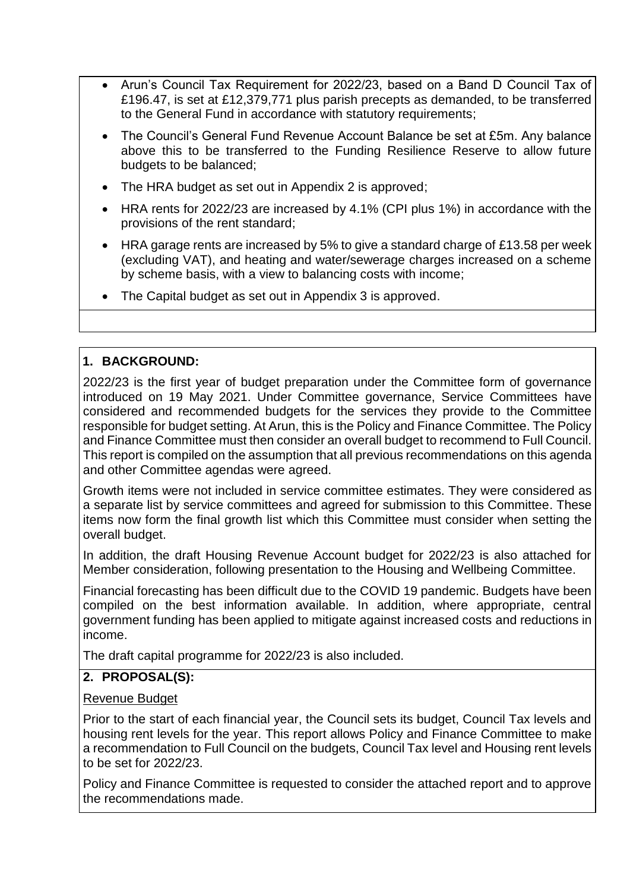- Arun's Council Tax Requirement for 2022/23, based on a Band D Council Tax of £196.47, is set at £12,379,771 plus parish precepts as demanded, to be transferred to the General Fund in accordance with statutory requirements;
- The Council's General Fund Revenue Account Balance be set at £5m. Any balance above this to be transferred to the Funding Resilience Reserve to allow future budgets to be balanced;
- The HRA budget as set out in Appendix 2 is approved;
- HRA rents for 2022/23 are increased by 4.1% (CPI plus 1%) in accordance with the provisions of the rent standard;
- HRA garage rents are increased by 5% to give a standard charge of £13.58 per week (excluding VAT), and heating and water/sewerage charges increased on a scheme by scheme basis, with a view to balancing costs with income;
- The Capital budget as set out in Appendix 3 is approved.

# **1. BACKGROUND:**

2022/23 is the first year of budget preparation under the Committee form of governance introduced on 19 May 2021. Under Committee governance, Service Committees have considered and recommended budgets for the services they provide to the Committee responsible for budget setting. At Arun, this is the Policy and Finance Committee. The Policy and Finance Committee must then consider an overall budget to recommend to Full Council. This report is compiled on the assumption that all previous recommendations on this agenda and other Committee agendas were agreed.

Growth items were not included in service committee estimates. They were considered as a separate list by service committees and agreed for submission to this Committee. These items now form the final growth list which this Committee must consider when setting the overall budget.

In addition, the draft Housing Revenue Account budget for 2022/23 is also attached for Member consideration, following presentation to the Housing and Wellbeing Committee.

Financial forecasting has been difficult due to the COVID 19 pandemic. Budgets have been compiled on the best information available. In addition, where appropriate, central government funding has been applied to mitigate against increased costs and reductions in income.

The draft capital programme for 2022/23 is also included.

# **2. PROPOSAL(S):**

# Revenue Budget

Prior to the start of each financial year, the Council sets its budget, Council Tax levels and housing rent levels for the year. This report allows Policy and Finance Committee to make a recommendation to Full Council on the budgets, Council Tax level and Housing rent levels to be set for 2022/23.

Policy and Finance Committee is requested to consider the attached report and to approve the recommendations made.